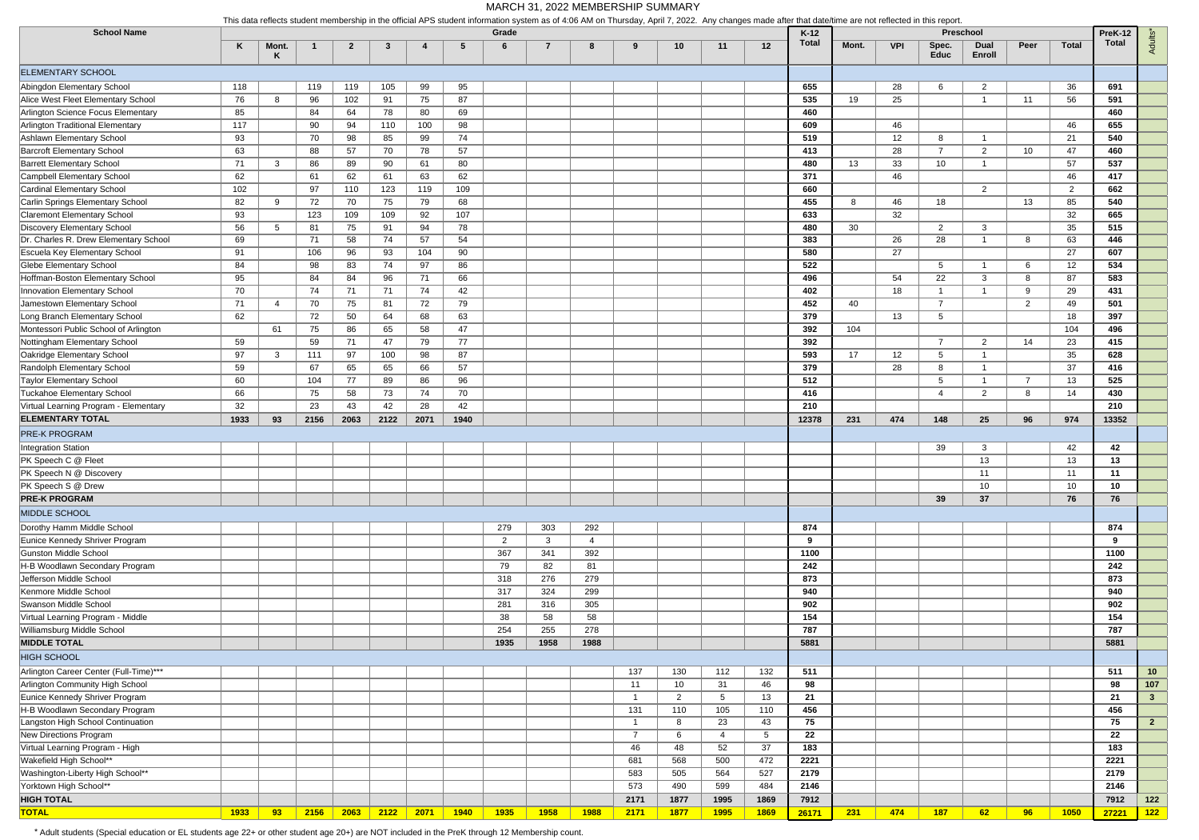| <b>School Name</b>                     | This uald renects student membership in the unitial APS student mionmation system as of 4.00 AM on Thursday, Aphr 7, 2022. Any changes made after that date/time are not renected in this report |            |      |              |              |      |      |             |                |             | Preschool<br>PreK-12 |                 |             |             |                 |       |            |                      |                |                |              |       |                 |
|----------------------------------------|--------------------------------------------------------------------------------------------------------------------------------------------------------------------------------------------------|------------|------|--------------|--------------|------|------|-------------|----------------|-------------|----------------------|-----------------|-------------|-------------|-----------------|-------|------------|----------------------|----------------|----------------|--------------|-------|-----------------|
|                                        | K                                                                                                                                                                                                | Mont.<br>ĸ | -1   | $\mathbf{2}$ | -3           | 4    | -5   | Grade<br>-6 | $\overline{7}$ | 8           | -9                   | 10 <sup>°</sup> | 11          | 12          | $K-12$<br>Total | Mont. | <b>VPI</b> | Spec.<br><b>Educ</b> | Dual<br>Enroll | Peer           | <b>Total</b> | Total | <b>Adults</b>   |
| <b>ELEMENTARY SCHOOL</b>               |                                                                                                                                                                                                  |            |      |              |              |      |      |             |                |             |                      |                 |             |             |                 |       |            |                      |                |                |              |       |                 |
| Abingdon Elementary School             | 118                                                                                                                                                                                              |            | 119  | 119          | 105          | 99   | 95   |             |                |             |                      |                 |             |             | 655             |       | 28         | 6                    | 2              |                | 36           | 691   |                 |
| Alice West Fleet Elementary School     | 76                                                                                                                                                                                               | 8          | 96   | 102          | 91           | 75   | 87   |             |                |             |                      |                 |             |             | 535             | 19    | 25         |                      |                | 11             | 56           | 591   |                 |
| Arlington Science Focus Elementary     | 85                                                                                                                                                                                               |            | 84   | 64           | 78           | 80   | 69   |             |                |             |                      |                 |             |             | 460             |       |            |                      |                |                |              | 460   |                 |
| Arlington Traditional Elementary       | 117                                                                                                                                                                                              |            | 90   | 94           | 110          | 100  | 98   |             |                |             |                      |                 |             |             | 609             |       | 46         |                      |                |                | 46           | 655   |                 |
| Ashlawn Elementary School              | 93                                                                                                                                                                                               |            | 70   | 98           | 85           | 99   | 74   |             |                |             |                      |                 |             |             | 519             |       | 12         | 8                    |                |                | 21           | 540   |                 |
| <b>Barcroft Elementary School</b>      | 63                                                                                                                                                                                               |            | 88   | 57           | 70           | 78   | 57   |             |                |             |                      |                 |             |             | 413             |       | 28         | $\overline{7}$       | 2              | 10             | 47           | 460   |                 |
| <b>Barrett Elementary School</b>       | 71                                                                                                                                                                                               | 3          | 86   | 89           | 90           | 61   | 80   |             |                |             |                      |                 |             |             | 480             | 13    | 33         | 10                   |                |                | 57           | 537   |                 |
| <b>Campbell Elementary School</b>      | 62                                                                                                                                                                                               |            | 61   | 62           | 61           | 63   | 62   |             |                |             |                      |                 |             |             | 371             |       | 46         |                      |                |                | 46           | 417   |                 |
| Cardinal Elementary School             | 102                                                                                                                                                                                              |            | 97   | 110          | 123          | 119  | 109  |             |                |             |                      |                 |             |             | 660             |       |            |                      | 2              |                | 2            | 662   |                 |
| Carlin Springs Elementary School       | 82                                                                                                                                                                                               | 9          | 72   | 70           | 75           | 79   | 68   |             |                |             |                      |                 |             |             | 455             | 8     | 46         | 18                   |                | 13             | 85           | 540   |                 |
| <b>Claremont Elementary School</b>     | 93                                                                                                                                                                                               |            | 123  | 109          | 109          | 92   | 107  |             |                |             |                      |                 |             |             | 633             |       | 32         |                      |                |                | 32           | 665   |                 |
| Discovery Elementary School            |                                                                                                                                                                                                  | 5          | 81   | 75           | 91           | 94   | 78   |             |                |             |                      |                 |             |             | 480             | 30    |            | $\overline{2}$       | 3              |                | 35           | 515   |                 |
| Dr. Charles R. Drew Elementary School  | 56                                                                                                                                                                                               |            | 71   | 58           | 74           | 57   | 54   |             |                |             |                      |                 |             |             | 383             |       | 26         | 28                   |                | 8              | 63           | 446   |                 |
| Escuela Key Elementary School          | 69<br>91                                                                                                                                                                                         |            | 106  | 96           | 93           | 104  | 90   |             |                |             |                      |                 |             |             | 580             |       | 27         |                      |                |                | 27           | 607   |                 |
| <b>Glebe Elementary School</b>         | 84                                                                                                                                                                                               |            | 98   | 83           | 74           | 97   | 86   |             |                |             |                      |                 |             |             | 522             |       |            | 5                    |                | 6              | 12           | 534   |                 |
| Hoffman-Boston Elementary School       |                                                                                                                                                                                                  |            |      |              |              |      |      |             |                |             |                      |                 |             |             | 496             |       |            |                      |                | 8              |              | 583   |                 |
|                                        | 95                                                                                                                                                                                               |            | 84   | 84           | 96           | 71   | 66   |             |                |             |                      |                 |             |             |                 |       | 54         | 22                   | 3              |                | 87           |       |                 |
| Innovation Elementary School           | 70                                                                                                                                                                                               |            | 74   | 71           | 71           | 74   | 42   |             |                |             |                      |                 |             |             | 402             |       | 18         | $\overline{1}$       |                | -9             | 29           | 431   |                 |
| Jamestown Elementary School            | 71                                                                                                                                                                                               | 4          | 70   | 75           | 81           | 72   | 79   |             |                |             |                      |                 |             |             | 452             | 40    |            | $\overline{7}$       |                | 2              | 49           | 501   |                 |
| Long Branch Elementary School          | 62                                                                                                                                                                                               |            | 72   | 50           | 64           | 68   | 63   |             |                |             |                      |                 |             |             | 379             |       | 13         | $5\overline{)}$      |                |                | 18           | 397   |                 |
| Montessori Public School of Arlington  |                                                                                                                                                                                                  | 61         | 75   | 86           | 65           | 58   | 47   |             |                |             |                      |                 |             |             | 392             | 104   |            |                      |                |                | 104          | 496   |                 |
| Nottingham Elementary School           | 59                                                                                                                                                                                               |            | 59   | 71           | 47           | 79   | 77   |             |                |             |                      |                 |             |             | 392             |       |            | $\overline{7}$       | $\overline{2}$ | 14             | 23           | 415   |                 |
| Oakridge Elementary School             | 97                                                                                                                                                                                               | 3          | 111  | 97           | 100          | 98   | 87   |             |                |             |                      |                 |             |             | 593             | 17    | 12         | $5\overline{)}$      | -1             |                | 35           | 628   |                 |
| Randolph Elementary School             | 59                                                                                                                                                                                               |            | 67   | 65           | 65           | 66   | 57   |             |                |             |                      |                 |             |             | 379             |       | 28         | 8                    | - 1            |                | 37           | 416   |                 |
| <b>Taylor Elementary School</b>        | 60                                                                                                                                                                                               |            | 104  | 77           | 89           | 86   | 96   |             |                |             |                      |                 |             |             | 512             |       |            | $5\overline{)}$      |                | $\overline{7}$ | 13           | 525   |                 |
| <b>Tuckahoe Elementary School</b>      | 66                                                                                                                                                                                               |            | 75   | 58           | 73           | 74   | 70   |             |                |             |                      |                 |             |             | 416             |       |            | $\overline{4}$       | $\overline{2}$ | 8              | 14           | 430   |                 |
| Virtual Learning Program - Elementary  | 32                                                                                                                                                                                               |            | 23   | 43           | 42           | 28   | 42   |             |                |             |                      |                 |             |             | 210             |       |            |                      |                |                |              | 210   |                 |
| <b>ELEMENTARY TOTAL</b>                | 1933                                                                                                                                                                                             | 93         | 2156 | 2063         | 2122         | 2071 | 1940 |             |                |             |                      |                 |             |             | 12378           | 231   | 474        | 148                  | 25             | 96             | 974          | 13352 |                 |
| <b>PRE-K PROGRAM</b>                   |                                                                                                                                                                                                  |            |      |              |              |      |      |             |                |             |                      |                 |             |             |                 |       |            |                      |                |                |              |       |                 |
| Integration Station                    |                                                                                                                                                                                                  |            |      |              |              |      |      |             |                |             |                      |                 |             |             |                 |       |            | 39                   | 3              |                | 42           | 42    |                 |
| PK Speech C @ Fleet                    |                                                                                                                                                                                                  |            |      |              |              |      |      |             |                |             |                      |                 |             |             |                 |       |            |                      | 13             |                | 13           | 13    |                 |
| PK Speech N @ Discovery                |                                                                                                                                                                                                  |            |      |              |              |      |      |             |                |             |                      |                 |             |             |                 |       |            |                      | 11             |                | 11           | 11    |                 |
| PK Speech S @ Drew                     |                                                                                                                                                                                                  |            |      |              |              |      |      |             |                |             |                      |                 |             |             |                 |       |            |                      | 10             |                | 10           | 10    |                 |
| <b>PRE-K PROGRAM</b>                   |                                                                                                                                                                                                  |            |      |              |              |      |      |             |                |             |                      |                 |             |             |                 |       |            | 39                   | 37             |                | 76           | 76    |                 |
| MIDDLE SCHOOL                          |                                                                                                                                                                                                  |            |      |              |              |      |      |             |                |             |                      |                 |             |             |                 |       |            |                      |                |                |              |       |                 |
| Dorothy Hamm Middle School             |                                                                                                                                                                                                  |            |      |              |              |      |      | 279         | 303            | 292         |                      |                 |             |             | 874             |       |            |                      |                |                |              | 874   |                 |
| Eunice Kennedy Shriver Program         |                                                                                                                                                                                                  |            |      |              |              |      |      | 2           | $\mathbf{3}$   | 4           |                      |                 |             |             | -9              |       |            |                      |                |                |              | 9     |                 |
| <b>Gunston Middle School</b>           |                                                                                                                                                                                                  |            |      |              |              |      |      | 367         | 341            | 392         |                      |                 |             |             | 1100            |       |            |                      |                |                |              | 1100  |                 |
| H-B Woodlawn Secondary Program         |                                                                                                                                                                                                  |            |      |              |              |      |      | 79          | 82             | 81          |                      |                 |             |             | 242             |       |            |                      |                |                |              | 242   |                 |
| Jefferson Middle School                |                                                                                                                                                                                                  |            |      |              |              |      |      | 318         | 276            | 279         |                      |                 |             |             | 873             |       |            |                      |                |                |              | 873   |                 |
| Kenmore Middle School                  |                                                                                                                                                                                                  |            |      |              |              |      |      | 317         | 324            | 299         |                      |                 |             |             | 940             |       |            |                      |                |                |              | 940   |                 |
| Swanson Middle School                  |                                                                                                                                                                                                  |            |      |              |              |      |      | 281         | 316            | 305         |                      |                 |             |             | 902             |       |            |                      |                |                |              | 902   |                 |
| Virtual Learning Program - Middle      |                                                                                                                                                                                                  |            |      |              |              |      |      | 38          | 58             | 58          |                      |                 |             |             | 154             |       |            |                      |                |                |              | 154   |                 |
| Williamsburg Middle School             |                                                                                                                                                                                                  |            |      |              |              |      |      | 254         | 255            | 278         |                      |                 |             |             | 787             |       |            |                      |                |                |              | 787   |                 |
| <b>MIDDLE TOTAL</b>                    |                                                                                                                                                                                                  |            |      |              |              |      |      | 1935        | 1958           | 1988        |                      |                 |             |             | 5881            |       |            |                      |                |                |              | 5881  |                 |
|                                        |                                                                                                                                                                                                  |            |      |              |              |      |      |             |                |             |                      |                 |             |             |                 |       |            |                      |                |                |              |       |                 |
| <b>HIGH SCHOOL</b>                     |                                                                                                                                                                                                  |            |      |              |              |      |      |             |                |             |                      |                 |             |             |                 |       |            |                      |                |                |              |       |                 |
| Arlington Career Center (Full-Time)*** |                                                                                                                                                                                                  |            |      |              |              |      |      |             |                |             | 137                  | 130             | 112         | 132         | 511             |       |            |                      |                |                |              | 511   | 10 <sub>1</sub> |
| Arlington Community High School        |                                                                                                                                                                                                  |            |      |              |              |      |      |             |                |             | 11                   | 10 <sup>°</sup> | 31          | 46          | 98              |       |            |                      |                |                |              | 98    | 107             |
| Eunice Kennedy Shriver Program         |                                                                                                                                                                                                  |            |      |              |              |      |      |             |                |             | $\mathbf{1}$         | $\overline{2}$  | 5           | 13          | 21              |       |            |                      |                |                |              | 21    | $\mathbf{3}$    |
| H-B Woodlawn Secondary Program         |                                                                                                                                                                                                  |            |      |              |              |      |      |             |                |             | 131                  | 110             | 105         | 110         | 456             |       |            |                      |                |                |              | 456   |                 |
| Langston High School Continuation      |                                                                                                                                                                                                  |            |      |              |              |      |      |             |                |             | $\mathbf{1}$         | 8               | 23          | 43          | 75              |       |            |                      |                |                |              | 75    | $2^{\circ}$     |
| New Directions Program                 |                                                                                                                                                                                                  |            |      |              |              |      |      |             |                |             | $\overline{7}$       | 6               | 4           | 5           | 22              |       |            |                      |                |                |              | 22    |                 |
| Virtual Learning Program - High        |                                                                                                                                                                                                  |            |      |              |              |      |      |             |                |             | 46                   | 48              | 52          | 37          | 183             |       |            |                      |                |                |              | 183   |                 |
| Wakefield High School**                |                                                                                                                                                                                                  |            |      |              |              |      |      |             |                |             | 681                  | 568             | 500         | 472         | 2221            |       |            |                      |                |                |              | 2221  |                 |
| Washington-Liberty High School**       |                                                                                                                                                                                                  |            |      |              |              |      |      |             |                |             | 583                  | 505             | 564         | 527         | 2179            |       |            |                      |                |                |              | 2179  |                 |
| Yorktown High School**                 |                                                                                                                                                                                                  |            |      |              |              |      |      |             |                |             | 573                  | 490             | 599         | 484         | 2146            |       |            |                      |                |                |              | 2146  |                 |
| <b>HIGH TOTAL</b>                      |                                                                                                                                                                                                  |            |      |              |              |      |      |             |                |             | 2171                 | 1877            | 1995        | 1869        | 7912            |       |            |                      |                |                |              | 7912  | $122$           |
| <b>TOTAL</b>                           | 1933                                                                                                                                                                                             | 93         | 2156 | 2063         | $\vert$ 2122 | 2071 | 1940 | 1935        | 1958           | <b>1988</b> | 2171                 | 1877            | <b>1995</b> | <b>1869</b> | 26171           | 231   | 474        | 187                  | 62             | 96             | 1050         | 27221 | 122             |

\* Adult students (Special education or EL students age 22+ or other student age 20+) are NOT included in the PreK through 12 Membership count.

This data reflects student membership in the official APS student information system as of 4:06 AM on Thursday, April 7, 2022. Any changes made after that date/time are not reflected in this report.

## MARCH 31, 2022 MEMBERSHIP SUMMARY